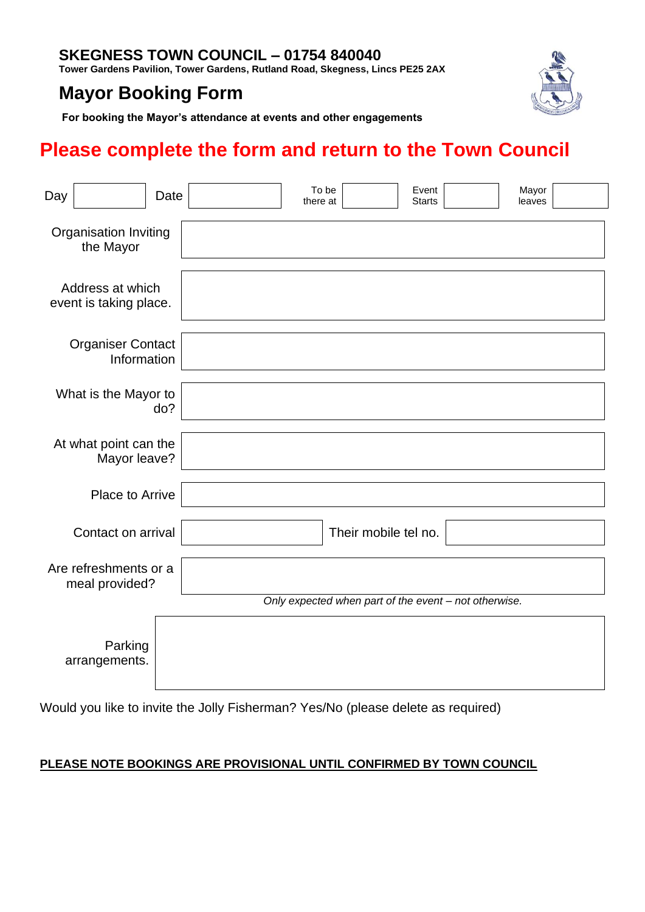### **SKEGNESS TOWN COUNCIL – 01754 840040**

**Tower Gardens Pavilion, Tower Gardens, Rutland Road, Skegness, Lincs PE25 2AX**

## **Mayor Booking Form**



**For booking the Mayor's attendance at events and other engagements**

# **Please complete the form and return to the Town Council**

| Day                                        |                          | Date |                                                       | there at             | To be | Event<br><b>Starts</b> | Mayor<br>leaves |  |  |
|--------------------------------------------|--------------------------|------|-------------------------------------------------------|----------------------|-------|------------------------|-----------------|--|--|
| Organisation Inviting<br>the Mayor         |                          |      |                                                       |                      |       |                        |                 |  |  |
| Address at which<br>event is taking place. |                          |      |                                                       |                      |       |                        |                 |  |  |
| <b>Organiser Contact</b><br>Information    |                          |      |                                                       |                      |       |                        |                 |  |  |
| What is the Mayor to<br>do?                |                          |      |                                                       |                      |       |                        |                 |  |  |
| At what point can the<br>Mayor leave?      |                          |      |                                                       |                      |       |                        |                 |  |  |
|                                            | Place to Arrive          |      |                                                       |                      |       |                        |                 |  |  |
| Contact on arrival                         |                          |      |                                                       | Their mobile tel no. |       |                        |                 |  |  |
| Are refreshments or a<br>meal provided?    |                          |      |                                                       |                      |       |                        |                 |  |  |
|                                            |                          |      | Only expected when part of the event - not otherwise. |                      |       |                        |                 |  |  |
|                                            | Parking<br>arrangements. |      |                                                       |                      |       |                        |                 |  |  |

Would you like to invite the Jolly Fisherman? Yes/No (please delete as required)

### **PLEASE NOTE BOOKINGS ARE PROVISIONAL UNTIL CONFIRMED BY TOWN COUNCIL**